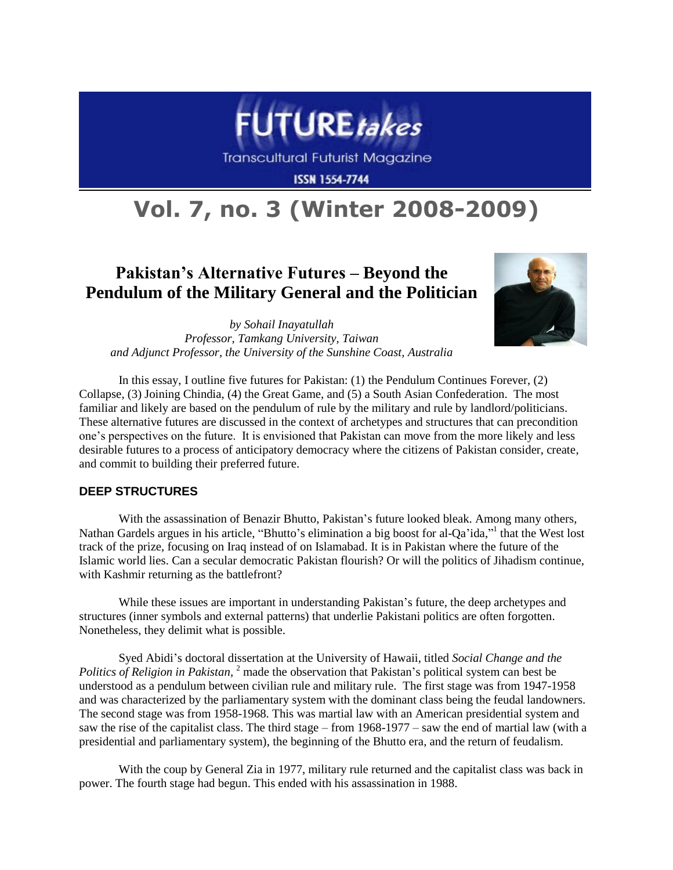

**Transcultural Futurist Magazine** 

**ISSN 1554-7744** 

# **Vol. 7, no. 3 (Winter 2008-2009)**

# **Pakistan's Alternative Futures – Beyond the Pendulum of the Military General and the Politician**



*by Sohail Inayatullah Professor, Tamkang University, Taiwan and Adjunct Professor, the University of the Sunshine Coast, Australia*

In this essay, I outline five futures for Pakistan: (1) the Pendulum Continues Forever, (2) Collapse, (3) Joining Chindia, (4) the Great Game, and (5) a South Asian Confederation. The most familiar and likely are based on the pendulum of rule by the military and rule by landlord/politicians. These alternative futures are discussed in the context of archetypes and structures that can precondition one's perspectives on the future. It is envisioned that Pakistan can move from the more likely and less desirable futures to a process of anticipatory democracy where the citizens of Pakistan consider, create, and commit to building their preferred future.

# **DEEP STRUCTURES**

With the assassination of Benazir Bhutto, Pakistan's future looked bleak. Among many others, Nathan Gardels argues in his article, "Bhutto's elimination a big boost for al-Qa'ida," that the West lost track of the prize, focusing on Iraq instead of on Islamabad. It is in Pakistan where the future of the Islamic world lies. Can a secular democratic Pakistan flourish? Or will the politics of Jihadism continue, with Kashmir returning as the battlefront?

While these issues are important in understanding Pakistan's future, the deep archetypes and structures (inner symbols and external patterns) that underlie Pakistani politics are often forgotten. Nonetheless, they delimit what is possible.

Syed Abidi's doctoral dissertation at the University of Hawaii, titled *Social Change and the Politics of Religion in Pakistan*, <sup>2</sup> made the observation that Pakistan's political system can best be understood as a pendulum between civilian rule and military rule. The first stage was from 1947-1958 and was characterized by the parliamentary system with the dominant class being the feudal landowners. The second stage was from 1958-1968. This was martial law with an American presidential system and saw the rise of the capitalist class. The third stage – from 1968-1977 – saw the end of martial law (with a presidential and parliamentary system), the beginning of the Bhutto era, and the return of feudalism.

With the coup by General Zia in 1977, military rule returned and the capitalist class was back in power. The fourth stage had begun. This ended with his assassination in 1988.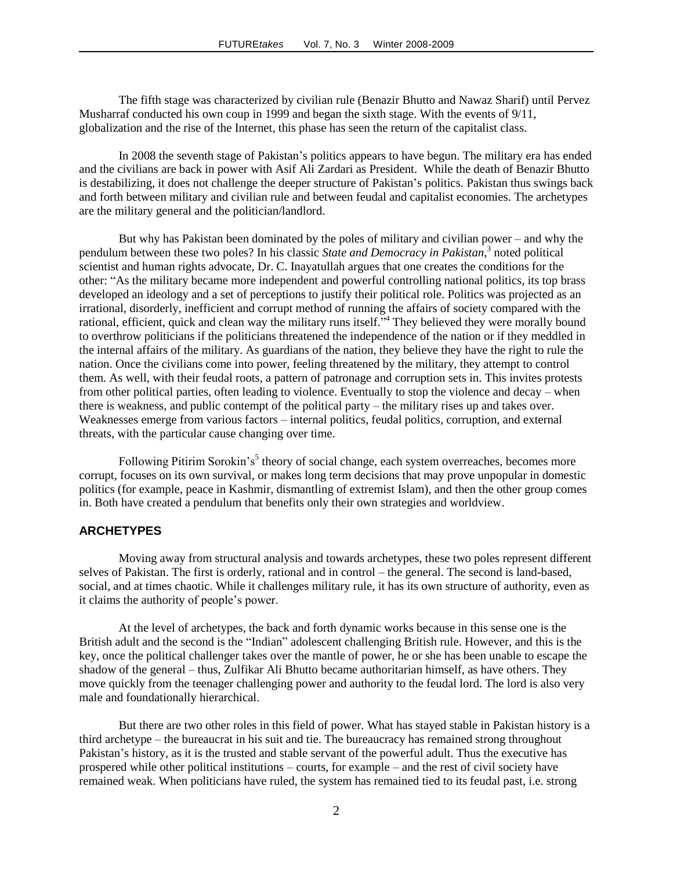The fifth stage was characterized by civilian rule (Benazir Bhutto and Nawaz Sharif) until Pervez Musharraf conducted his own coup in 1999 and began the sixth stage. With the events of 9/11, globalization and the rise of the Internet, this phase has seen the return of the capitalist class.

In 2008 the seventh stage of Pakistan's politics appears to have begun. The military era has ended and the civilians are back in power with Asif Ali Zardari as President. While the death of Benazir Bhutto is destabilizing, it does not challenge the deeper structure of Pakistan's politics. Pakistan thus swings back and forth between military and civilian rule and between feudal and capitalist economies. The archetypes are the military general and the politician/landlord.

But why has Pakistan been dominated by the poles of military and civilian power – and why the pendulum between these two poles? In his classic *State and Democracy in Pakistan,* 3 noted political scientist and human rights advocate, Dr. C. Inayatullah argues that one creates the conditions for the other: "As the military became more independent and powerful controlling national politics, its top brass developed an ideology and a set of perceptions to justify their political role. Politics was projected as an irrational, disorderly, inefficient and corrupt method of running the affairs of society compared with the rational, efficient, quick and clean way the military runs itself."<sup>4</sup> They believed they were morally bound to overthrow politicians if the politicians threatened the independence of the nation or if they meddled in the internal affairs of the military. As guardians of the nation, they believe they have the right to rule the nation. Once the civilians come into power, feeling threatened by the military, they attempt to control them. As well, with their feudal roots, a pattern of patronage and corruption sets in. This invites protests from other political parties, often leading to violence. Eventually to stop the violence and decay – when there is weakness, and public contempt of the political party – the military rises up and takes over. Weaknesses emerge from various factors – internal politics, feudal politics, corruption, and external threats, with the particular cause changing over time.

Following Pitirim Sorokin's<sup>5</sup> theory of social change, each system overreaches, becomes more corrupt, focuses on its own survival, or makes long term decisions that may prove unpopular in domestic politics (for example, peace in Kashmir, dismantling of extremist Islam), and then the other group comes in. Both have created a pendulum that benefits only their own strategies and worldview.

#### **ARCHETYPES**

Moving away from structural analysis and towards archetypes, these two poles represent different selves of Pakistan. The first is orderly, rational and in control – the general. The second is land-based, social, and at times chaotic. While it challenges military rule, it has its own structure of authority, even as it claims the authority of people's power.

At the level of archetypes, the back and forth dynamic works because in this sense one is the British adult and the second is the "Indian" adolescent challenging British rule. However, and this is the key, once the political challenger takes over the mantle of power, he or she has been unable to escape the shadow of the general – thus, Zulfikar Ali Bhutto became authoritarian himself, as have others. They move quickly from the teenager challenging power and authority to the feudal lord. The lord is also very male and foundationally hierarchical.

But there are two other roles in this field of power. What has stayed stable in Pakistan history is a third archetype – the bureaucrat in his suit and tie. The bureaucracy has remained strong throughout Pakistan's history, as it is the trusted and stable servant of the powerful adult. Thus the executive has prospered while other political institutions – courts, for example – and the rest of civil society have remained weak. When politicians have ruled, the system has remained tied to its feudal past, i.e. strong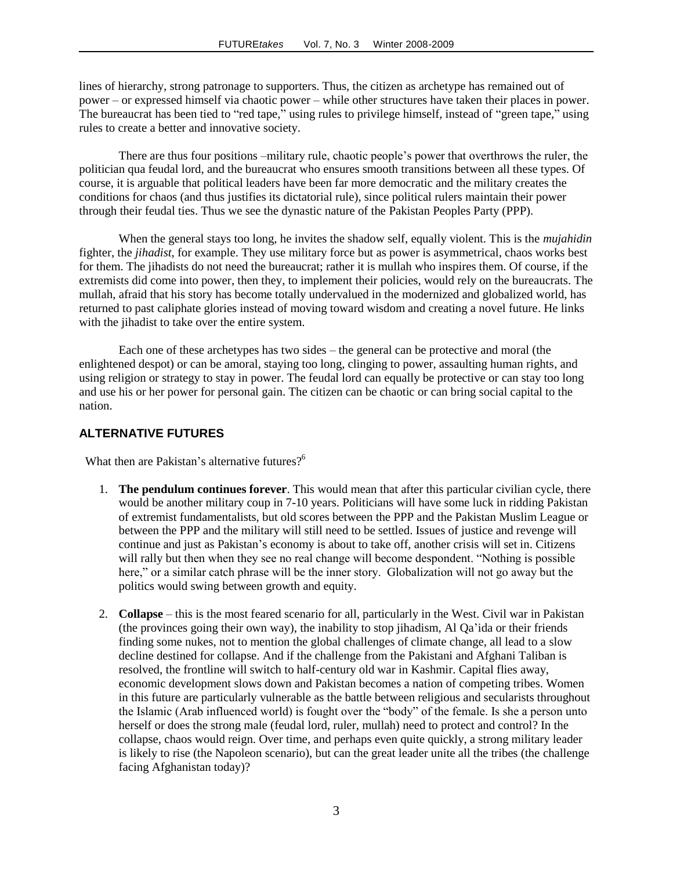lines of hierarchy, strong patronage to supporters. Thus, the citizen as archetype has remained out of power – or expressed himself via chaotic power – while other structures have taken their places in power. The bureaucrat has been tied to "red tape," using rules to privilege himself, instead of "green tape," using rules to create a better and innovative society.

There are thus four positions –military rule, chaotic people's power that overthrows the ruler, the politician qua feudal lord, and the bureaucrat who ensures smooth transitions between all these types. Of course, it is arguable that political leaders have been far more democratic and the military creates the conditions for chaos (and thus justifies its dictatorial rule), since political rulers maintain their power through their feudal ties. Thus we see the dynastic nature of the Pakistan Peoples Party (PPP).

When the general stays too long, he invites the shadow self, equally violent. This is the *mujahidin* fighter, the *jihadist*, for example. They use military force but as power is asymmetrical, chaos works best for them. The jihadists do not need the bureaucrat; rather it is mullah who inspires them. Of course, if the extremists did come into power, then they, to implement their policies, would rely on the bureaucrats. The mullah, afraid that his story has become totally undervalued in the modernized and globalized world, has returned to past caliphate glories instead of moving toward wisdom and creating a novel future. He links with the jihadist to take over the entire system.

Each one of these archetypes has two sides – the general can be protective and moral (the enlightened despot) or can be amoral, staying too long, clinging to power, assaulting human rights, and using religion or strategy to stay in power. The feudal lord can equally be protective or can stay too long and use his or her power for personal gain. The citizen can be chaotic or can bring social capital to the nation.

### **ALTERNATIVE FUTURES**

What then are Pakistan's alternative futures?<sup>6</sup>

- 1. **The pendulum continues forever**. This would mean that after this particular civilian cycle, there would be another military coup in 7-10 years. Politicians will have some luck in ridding Pakistan of extremist fundamentalists, but old scores between the PPP and the Pakistan Muslim League or between the PPP and the military will still need to be settled. Issues of justice and revenge will continue and just as Pakistan's economy is about to take off, another crisis will set in. Citizens will rally but then when they see no real change will become despondent. "Nothing is possible here," or a similar catch phrase will be the inner story. Globalization will not go away but the politics would swing between growth and equity.
- 2. **Collapse** this is the most feared scenario for all, particularly in the West. Civil war in Pakistan (the provinces going their own way), the inability to stop jihadism, Al Qa'ida or their friends finding some nukes, not to mention the global challenges of climate change, all lead to a slow decline destined for collapse. And if the challenge from the Pakistani and Afghani Taliban is resolved, the frontline will switch to half-century old war in Kashmir. Capital flies away, economic development slows down and Pakistan becomes a nation of competing tribes. Women in this future are particularly vulnerable as the battle between religious and secularists throughout the Islamic (Arab influenced world) is fought over the "body" of the female. Is she a person unto herself or does the strong male (feudal lord, ruler, mullah) need to protect and control? In the collapse, chaos would reign. Over time, and perhaps even quite quickly, a strong military leader is likely to rise (the Napoleon scenario), but can the great leader unite all the tribes (the challenge facing Afghanistan today)?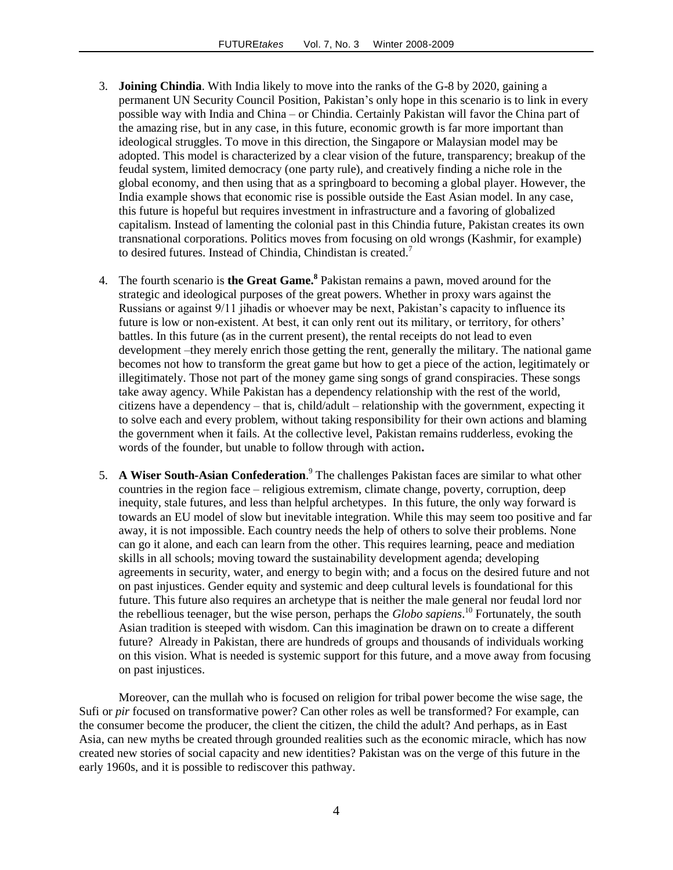- 3. **Joining Chindia**. With India likely to move into the ranks of the G-8 by 2020, gaining a permanent UN Security Council Position, Pakistan's only hope in this scenario is to link in every possible way with India and China – or Chindia. Certainly Pakistan will favor the China part of the amazing rise, but in any case, in this future, economic growth is far more important than ideological struggles. To move in this direction, the Singapore or Malaysian model may be adopted. This model is characterized by a clear vision of the future, transparency; breakup of the feudal system, limited democracy (one party rule), and creatively finding a niche role in the global economy, and then using that as a springboard to becoming a global player. However, the India example shows that economic rise is possible outside the East Asian model. In any case, this future is hopeful but requires investment in infrastructure and a favoring of globalized capitalism. Instead of lamenting the colonial past in this Chindia future, Pakistan creates its own transnational corporations. Politics moves from focusing on old wrongs (Kashmir, for example) to desired futures. Instead of Chindia, Chindistan is created.<sup>7</sup>
- 4. The fourth scenario is **the Great Game.<sup>8</sup>** Pakistan remains a pawn, moved around for the strategic and ideological purposes of the great powers. Whether in proxy wars against the Russians or against 9/11 jihadis or whoever may be next, Pakistan's capacity to influence its future is low or non-existent. At best, it can only rent out its military, or territory, for others' battles. In this future (as in the current present), the rental receipts do not lead to even development –they merely enrich those getting the rent, generally the military. The national game becomes not how to transform the great game but how to get a piece of the action, legitimately or illegitimately. Those not part of the money game sing songs of grand conspiracies. These songs take away agency. While Pakistan has a dependency relationship with the rest of the world, citizens have a dependency – that is, child/adult – relationship with the government, expecting it to solve each and every problem, without taking responsibility for their own actions and blaming the government when it fails. At the collective level, Pakistan remains rudderless, evoking the words of the founder, but unable to follow through with action**.**
- 5. **A Wiser South-Asian Confederation**. 9 The challenges Pakistan faces are similar to what other countries in the region face – religious extremism, climate change, poverty, corruption, deep inequity, stale futures, and less than helpful archetypes. In this future, the only way forward is towards an EU model of slow but inevitable integration. While this may seem too positive and far away, it is not impossible. Each country needs the help of others to solve their problems. None can go it alone, and each can learn from the other. This requires learning, peace and mediation skills in all schools; moving toward the sustainability development agenda; developing agreements in security, water, and energy to begin with; and a focus on the desired future and not on past injustices. Gender equity and systemic and deep cultural levels is foundational for this future. This future also requires an archetype that is neither the male general nor feudal lord nor the rebellious teenager, but the wise person, perhaps the *Globo sapiens*. <sup>10</sup> Fortunately, the south Asian tradition is steeped with wisdom. Can this imagination be drawn on to create a different future? Already in Pakistan, there are hundreds of groups and thousands of individuals working on this vision. What is needed is systemic support for this future, and a move away from focusing on past injustices.

Moreover, can the mullah who is focused on religion for tribal power become the wise sage, the Sufi or *pir* focused on transformative power? Can other roles as well be transformed? For example, can the consumer become the producer, the client the citizen, the child the adult? And perhaps, as in East Asia, can new myths be created through grounded realities such as the economic miracle, which has now created new stories of social capacity and new identities? Pakistan was on the verge of this future in the early 1960s, and it is possible to rediscover this pathway.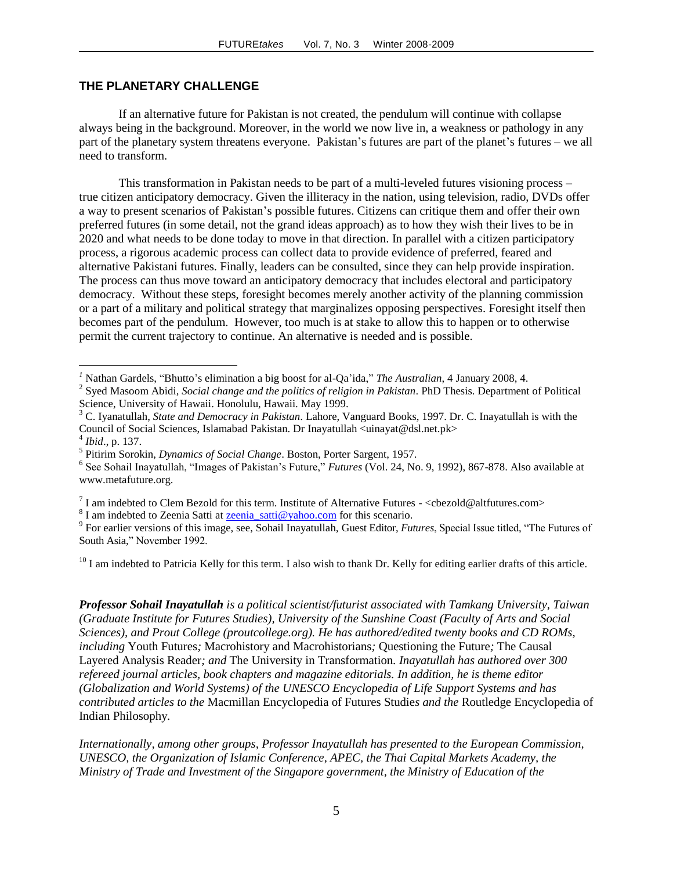## **THE PLANETARY CHALLENGE**

If an alternative future for Pakistan is not created, the pendulum will continue with collapse always being in the background. Moreover, in the world we now live in, a weakness or pathology in any part of the planetary system threatens everyone. Pakistan's futures are part of the planet's futures – we all need to transform.

This transformation in Pakistan needs to be part of a multi-leveled futures visioning process – true citizen anticipatory democracy. Given the illiteracy in the nation, using television, radio, DVDs offer a way to present scenarios of Pakistan's possible futures. Citizens can critique them and offer their own preferred futures (in some detail, not the grand ideas approach) as to how they wish their lives to be in 2020 and what needs to be done today to move in that direction. In parallel with a citizen participatory process, a rigorous academic process can collect data to provide evidence of preferred, feared and alternative Pakistani futures. Finally, leaders can be consulted, since they can help provide inspiration. The process can thus move toward an anticipatory democracy that includes electoral and participatory democracy. Without these steps, foresight becomes merely another activity of the planning commission or a part of a military and political strategy that marginalizes opposing perspectives. Foresight itself then becomes part of the pendulum. However, too much is at stake to allow this to happen or to otherwise permit the current trajectory to continue. An alternative is needed and is possible.

<sup>3</sup> C. Iyanatullah, *State and Democracy in Pakistan.* Lahore, Vanguard Books, 1997. Dr. C. Inayatullah is with the Council of Social Sciences, Islamabad Pakistan. Dr Inayatullah <uinayat@dsl.net.pk>

 $\overline{a}$ 

<sup>8</sup> I am indebted to Zeenia Satti at **zeenia** satti@yahoo.com for this scenario.

 $10$  I am indebted to Patricia Kelly for this term. I also wish to thank Dr. Kelly for editing earlier drafts of this article.

*Professor Sohail Inayatullah is a political scientist/futurist associated with Tamkang University, Taiwan (Graduate Institute for Futures Studies), University of the Sunshine Coast (Faculty of Arts and Social Sciences), and Prout College (proutcollege.org). He has authored/edited twenty books and CD ROMs, including* Youth Futures*;* Macrohistory and Macrohistorians*;* Questioning the Future*;* The Causal Layered Analysis Reader*; and* The University in Transformation*. Inayatullah has authored over 300 refereed journal articles, book chapters and magazine editorials. In addition, he is theme editor (Globalization and World Systems) of the UNESCO Encyclopedia of Life Support Systems and has contributed articles to the* Macmillan Encyclopedia of Futures Studie*s and the* Routledge Encyclopedia of Indian Philosophy*.*

*Internationally, among other groups, Professor Inayatullah has presented to the European Commission, UNESCO, the Organization of Islamic Conference, APEC, the Thai Capital Markets Academy, the Ministry of Trade and Investment of the Singapore government, the Ministry of Education of the* 

*<sup>1</sup>* Nathan Gardels, "Bhutto's elimination a big boost for al-Qa'ida," *The Australian*, 4 January 2008, 4.

<sup>2</sup> Syed Masoom Abidi, *Social change and the politics of religion in Pakistan*. PhD Thesis. Department of Political Science, University of Hawaii. Honolulu, Hawaii. May 1999.

<sup>4</sup> *Ibid*., p. 137.

<sup>5</sup> Pitirim Sorokin, *Dynamics of Social Change*. Boston, Porter Sargent, 1957.

<sup>6</sup> See Sohail Inayatullah, "Images of Pakistan's Future," *Futures* (Vol. 24, No. 9, 1992), 867-878. Also available at www.metafuture.org.

<sup>&</sup>lt;sup>7</sup> I am indebted to Clem Bezold for this term. Institute of Alternative Futures - <cbezold@altfutures.com>

<sup>9</sup> For earlier versions of this image, see, Sohail Inayatullah, Guest Editor, *Futures*, Special Issue titled, "The Futures of South Asia," November 1992.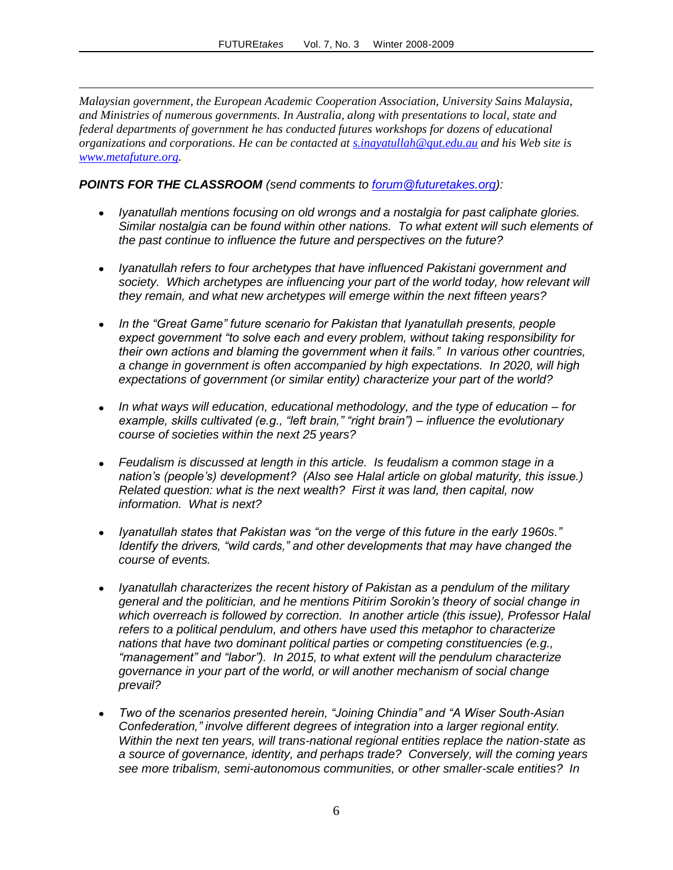*Malaysian government, the European Academic Cooperation Association, University Sains Malaysia, and Ministries of numerous governments. In Australia, along with presentations to local, state and federal departments of government he has conducted futures workshops for dozens of educational organizations and corporations. He can be contacted at [s.inayatullah@qut.edu.au](http://mail.futuretakes.org/scripts/mail/compose.mail?compose=1&.ob=0af606bf3e7a8e78a3869ca5d51e3c3a09570994&composeto=s.inayatullah%40qut.edu.au) and his Web site is [www.metafuture.org.](http://www.metafuture.org/)*

*POINTS FOR THE CLASSROOM (send comments to [forum@futuretakes.org\)](mailto:forum@futuretakes.org):*

 $\overline{a}$ 

- *Iyanatullah mentions focusing on old wrongs and a nostalgia for past caliphate glories. Similar nostalgia can be found within other nations. To what extent will such elements of the past continue to influence the future and perspectives on the future?*
- *Iyanatullah refers to four archetypes that have influenced Pakistani government and*  society. Which archetypes are influencing your part of the world today, how relevant will *they remain, and what new archetypes will emerge within the next fifteen years?*
- *In the "Great Game" future scenario for Pakistan that Iyanatullah presents, people expect government "to solve each and every problem, without taking responsibility for their own actions and blaming the government when it fails." In various other countries, a change in government is often accompanied by high expectations. In 2020, will high expectations of government (or similar entity) characterize your part of the world?*
- *In what ways will education, educational methodology, and the type of education – for example, skills cultivated (e.g., "left brain," "right brain") – influence the evolutionary course of societies within the next 25 years?*
- *Feudalism is discussed at length in this article. Is feudalism a common stage in a nation's (people's) development? (Also see Halal article on global maturity, this issue.) Related question: what is the next wealth? First it was land, then capital, now information. What is next?*
- *Iyanatullah states that Pakistan was "on the verge of this future in the early 1960s." Identify the drivers, "wild cards," and other developments that may have changed the course of events.*
- *Iyanatullah characterizes the recent history of Pakistan as a pendulum of the military general and the politician, and he mentions Pitirim Sorokin's theory of social change in which overreach is followed by correction. In another article (this issue), Professor Halal refers to a political pendulum, and others have used this metaphor to characterize nations that have two dominant political parties or competing constituencies (e.g., "management" and "labor"). In 2015, to what extent will the pendulum characterize governance in your part of the world, or will another mechanism of social change prevail?*
- *Two of the scenarios presented herein, "Joining Chindia" and "A Wiser South-Asian*   $\bullet$ *Confederation," involve different degrees of integration into a larger regional entity. Within the next ten years, will trans-national regional entities replace the nation-state as a source of governance, identity, and perhaps trade? Conversely, will the coming years see more tribalism, semi-autonomous communities, or other smaller-scale entities? In*